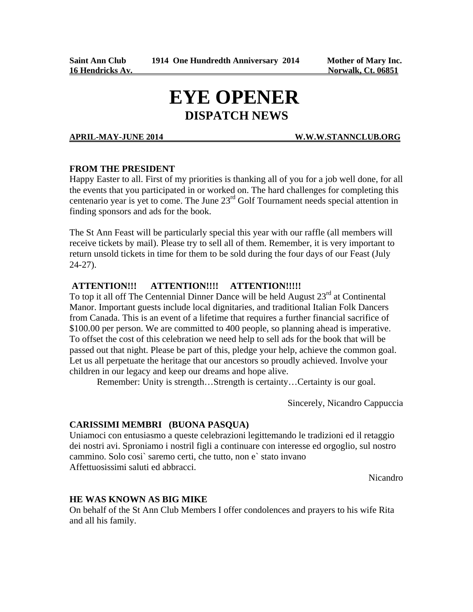# **EYE OPENER**

#### **APRIL-MAY-JUNE 2014 W.W.W.STANNCLUB.ORG**

#### **FROM THE PRESIDENT**

Happy Easter to all. First of my priorities is thanking all of you for a job well done, for all the events that you participated in or worked on. The hard challenges for completing this centenario year is yet to come. The June 23rd Golf Tournament needs special attention in finding sponsors and ads for the book.

The St Ann Feast will be particularly special this year with our raffle (all members will receive tickets by mail). Please try to sell all of them. Remember, it is very important to return unsold tickets in time for them to be sold during the four days of our Feast (July  $24-27$ ).

#### **ATTENTION!!! ATTENTION!!!! ATTENTION!!!!!**

To top it all off The Centennial Dinner Dance will be held August  $23<sup>rd</sup>$  at Continental Manor. Important guests include local dignitaries, and traditional Italian Folk Dancers from Canada. This is an event of a lifetime that requires a further financial sacrifice of \$100.00 per person. We are committed to 400 people, so planning ahead is imperative. To offset the cost of this celebration we need help to sell ads for the book that will be passed out that night. Please be part of this, pledge your help, achieve the common goal. Let us all perpetuate the heritage that our ancestors so proudly achieved. Involve your children in our legacy and keep our dreams and hope alive.

Remember: Unity is strength…Strength is certainty…Certainty is our goal.

Sincerely, Nicandro Cappuccia

#### **CARISSIMI MEMBRI (BUONA PASQUA)**

Uniamoci con entusiasmo a queste celebrazioni legittemando le tradizioni ed il retaggio dei nostri avi. Sproniamo i nostril figli a continuare con interesse ed orgoglio, sul nostro cammino. Solo cosi` saremo certi, che tutto, non e` stato invano Affettuosissimi saluti ed abbracci.

Nicandro

#### **HE WAS KNOWN AS BIG MIKE**

On behalf of the St Ann Club Members I offer condolences and prayers to his wife Rita and all his family.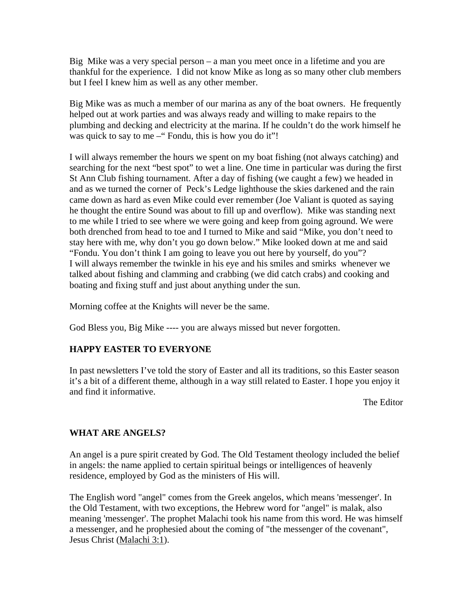Big Mike was a very special person – a man you meet once in a lifetime and you are thankful for the experience. I did not know Mike as long as so many other club members but I feel I knew him as well as any other member.

Big Mike was as much a member of our marina as any of the boat owners. He frequently helped out at work parties and was always ready and willing to make repairs to the plumbing and decking and electricity at the marina. If he couldn't do the work himself he was quick to say to me  $-$ " Fondu, this is how you do it"!

I will always remember the hours we spent on my boat fishing (not always catching) and searching for the next "best spot" to wet a line. One time in particular was during the first St Ann Club fishing tournament. After a day of fishing (we caught a few) we headed in and as we turned the corner of Peck's Ledge lighthouse the skies darkened and the rain came down as hard as even Mike could ever remember (Joe Valiant is quoted as saying he thought the entire Sound was about to fill up and overflow). Mike was standing next to me while I tried to see where we were going and keep from going aground. We were both drenched from head to toe and I turned to Mike and said "Mike, you don't need to stay here with me, why don't you go down below." Mike looked down at me and said "Fondu. You don't think I am going to leave you out here by yourself, do you"? I will always remember the twinkle in his eye and his smiles and smirks whenever we talked about fishing and clamming and crabbing (we did catch crabs) and cooking and boating and fixing stuff and just about anything under the sun.

Morning coffee at the Knights will never be the same.

God Bless you, Big Mike ---- you are always missed but never forgotten.

### **HAPPY EASTER TO EVERYONE**

In past newsletters I've told the story of Easter and all its traditions, so this Easter season it's a bit of a different theme, although in a way still related to Easter. I hope you enjoy it and find it informative.

The Editor

### **WHAT ARE ANGELS?**

An angel is a pure spirit created by God. The Old Testament theology included the belief in angels: the name applied to certain spiritual beings or intelligences of heavenly residence, employed by God as the ministers of His will.

The English word "angel" comes from the Greek angelos, which means 'messenger'. In the Old Testament, with two exceptions, the Hebrew word for "angel" is malak, also meaning 'messenger'. The prophet Malachi took his name from this word. He was himself a messenger, and he prophesied about the coming of "the messenger of the covenant", Jesus Christ (Malachi 3:1).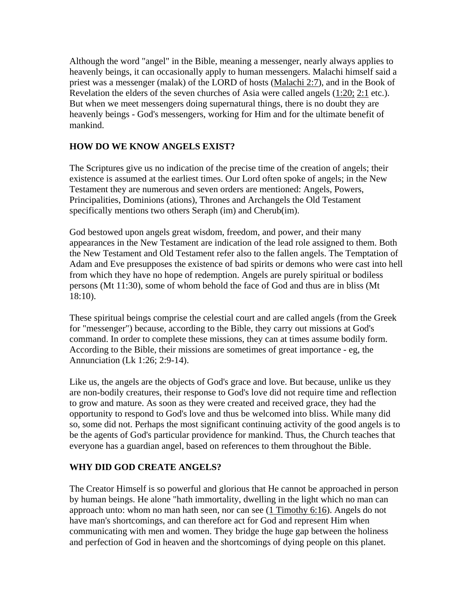Although the word "angel" in the Bible, meaning a messenger, nearly always applies to heavenly beings, it can occasionally apply to human messengers. Malachi himself said a priest was a messenger (malak) of the LORD of hosts (Malachi 2:7), and in the Book of Revelation the elders of the seven churches of Asia were called angels (1:20; 2:1 etc.). But when we meet messengers doing supernatural things, there is no doubt they are heavenly beings - God's messengers, working for Him and for the ultimate benefit of mankind.

#### **HOW DO WE KNOW ANGELS EXIST?**

The Scriptures give us no indication of the precise time of the creation of angels; their existence is assumed at the earliest times. Our Lord often spoke of angels; in the New Testament they are numerous and seven orders are mentioned: Angels, Powers, Principalities, Dominions (ations), Thrones and Archangels the Old Testament specifically mentions two others Seraph (im) and Cherub(im).

God bestowed upon angels great wisdom, freedom, and power, and their many appearances in the New Testament are indication of the lead role assigned to them. Both the New Testament and Old Testament refer also to the fallen angels. The Temptation of Adam and Eve presupposes the existence of bad spirits or demons who were cast into hell from which they have no hope of redemption. Angels are purely spiritual or bodiless persons (Mt 11:30), some of whom behold the face of God and thus are in bliss (Mt 18:10).

These spiritual beings comprise the celestial court and are called angels (from the Greek for "messenger") because, according to the Bible, they carry out missions at God's command. In order to complete these missions, they can at times assume bodily form. According to the Bible, their missions are sometimes of great importance - eg, the Annunciation (Lk 1:26; 2:9-14).

Like us, the angels are the objects of God's grace and love. But because, unlike us they are non-bodily creatures, their response to God's love did not require time and reflection to grow and mature. As soon as they were created and received grace, they had the opportunity to respond to God's love and thus be welcomed into bliss. While many did so, some did not. Perhaps the most significant continuing activity of the good angels is to be the agents of God's particular providence for mankind. Thus, the Church teaches that everyone has a guardian angel, based on references to them throughout the Bible.

#### **WHY DID GOD CREATE ANGELS?**

The Creator Himself is so powerful and glorious that He cannot be approached in person by human beings. He alone "hath immortality, dwelling in the light which no man can approach unto: whom no man hath seen, nor can see (1 Timothy 6:16). Angels do not have man's shortcomings, and can therefore act for God and represent Him when communicating with men and women. They bridge the huge gap between the holiness and perfection of God in heaven and the shortcomings of dying people on this planet.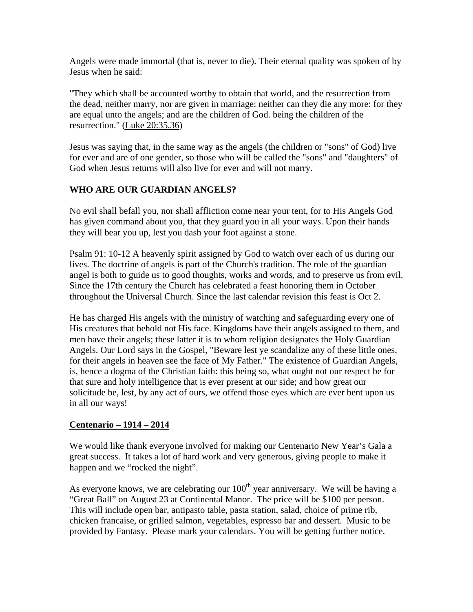Angels were made immortal (that is, never to die). Their eternal quality was spoken of by Jesus when he said:

"They which shall be accounted worthy to obtain that world, and the resurrection from the dead, neither marry, nor are given in marriage: neither can they die any more: for they are equal unto the angels; and are the children of God. being the children of the resurrection." (Luke 20:35.36)

Jesus was saying that, in the same way as the angels (the children or "sons" of God) live for ever and are of one gender, so those who will be called the "sons" and "daughters" of God when Jesus returns will also live for ever and will not marry.

#### **WHO ARE OUR GUARDIAN ANGELS?**

No evil shall befall you, nor shall affliction come near your tent, for to His Angels God has given command about you, that they guard you in all your ways. Upon their hands they will bear you up, lest you dash your foot against a stone.

Psalm 91: 10-12 A heavenly spirit assigned by God to watch over each of us during our lives. The doctrine of angels is part of the Church's tradition. The role of the guardian angel is both to guide us to good thoughts, works and words, and to preserve us from evil. Since the 17th century the Church has celebrated a feast honoring them in October throughout the Universal Church. Since the last calendar revision this feast is Oct 2.

He has charged His angels with the ministry of watching and safeguarding every one of His creatures that behold not His face. Kingdoms have their angels assigned to them, and men have their angels; these latter it is to whom religion designates the Holy Guardian Angels. Our Lord says in the Gospel, "Beware lest ye scandalize any of these little ones, for their angels in heaven see the face of My Father." The existence of Guardian Angels, is, hence a dogma of the Christian faith: this being so, what ought not our respect be for that sure and holy intelligence that is ever present at our side; and how great our solicitude be, lest, by any act of ours, we offend those eyes which are ever bent upon us in all our ways!

#### **Centenario – 1914 – 2014**

We would like thank everyone involved for making our Centenario New Year's Gala a great success. It takes a lot of hard work and very generous, giving people to make it happen and we "rocked the night".

As everyone knows, we are celebrating our  $100<sup>th</sup>$  year anniversary. We will be having a "Great Ball" on August 23 at Continental Manor. The price will be \$100 per person. This will include open bar, antipasto table, pasta station, salad, choice of prime rib, chicken francaise, or grilled salmon, vegetables, espresso bar and dessert. Music to be provided by Fantasy. Please mark your calendars. You will be getting further notice.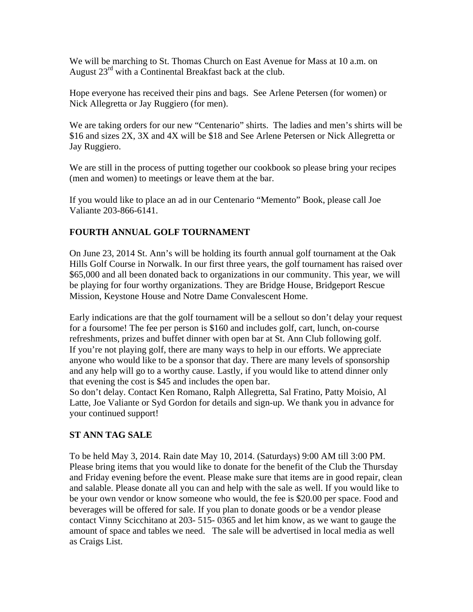We will be marching to St. Thomas Church on East Avenue for Mass at 10 a.m. on August  $23<sup>rd</sup>$  with a Continental Breakfast back at the club.

Hope everyone has received their pins and bags. See Arlene Petersen (for women) or Nick Allegretta or Jay Ruggiero (for men).

We are taking orders for our new "Centenario" shirts. The ladies and men's shirts will be \$16 and sizes 2X, 3X and 4X will be \$18 and See Arlene Petersen or Nick Allegretta or Jay Ruggiero.

We are still in the process of putting together our cookbook so please bring your recipes (men and women) to meetings or leave them at the bar.

If you would like to place an ad in our Centenario "Memento" Book, please call Joe Valiante 203-866-6141.

#### **FOURTH ANNUAL GOLF TOURNAMENT**

On June 23, 2014 St. Ann's will be holding its fourth annual golf tournament at the Oak Hills Golf Course in Norwalk. In our first three years, the golf tournament has raised over \$65,000 and all been donated back to organizations in our community. This year, we will be playing for four worthy organizations. They are Bridge House, Bridgeport Rescue Mission, Keystone House and Notre Dame Convalescent Home.

Early indications are that the golf tournament will be a sellout so don't delay your request for a foursome! The fee per person is \$160 and includes golf, cart, lunch, on-course refreshments, prizes and buffet dinner with open bar at St. Ann Club following golf. If you're not playing golf, there are many ways to help in our efforts. We appreciate anyone who would like to be a sponsor that day. There are many levels of sponsorship and any help will go to a worthy cause. Lastly, if you would like to attend dinner only that evening the cost is \$45 and includes the open bar.

So don't delay. Contact Ken Romano, Ralph Allegretta, Sal Fratino, Patty Moisio, Al Latte, Joe Valiante or Syd Gordon for details and sign-up. We thank you in advance for your continued support!

#### **ST ANN TAG SALE**

To be held May 3, 2014. Rain date May 10, 2014. (Saturdays) 9:00 AM till 3:00 PM. Please bring items that you would like to donate for the benefit of the Club the Thursday and Friday evening before the event. Please make sure that items are in good repair, clean and salable. Please donate all you can and help with the sale as well. If you would like to be your own vendor or know someone who would, the fee is \$20.00 per space. Food and beverages will be offered for sale. If you plan to donate goods or be a vendor please contact Vinny Scicchitano at 203- 515- 0365 and let him know, as we want to gauge the amount of space and tables we need. The sale will be advertised in local media as well as Craigs List.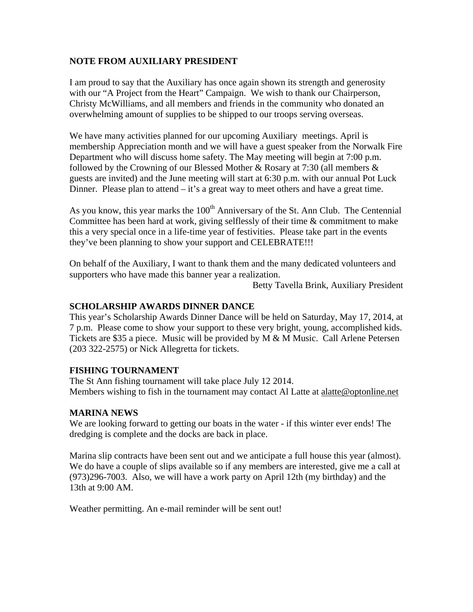#### **NOTE FROM AUXILIARY PRESIDENT**

I am proud to say that the Auxiliary has once again shown its strength and generosity with our "A Project from the Heart" Campaign. We wish to thank our Chairperson, Christy McWilliams, and all members and friends in the community who donated an overwhelming amount of supplies to be shipped to our troops serving overseas.

We have many activities planned for our upcoming Auxiliary meetings. April is membership Appreciation month and we will have a guest speaker from the Norwalk Fire Department who will discuss home safety. The May meeting will begin at 7:00 p.m. followed by the Crowning of our Blessed Mother & Rosary at 7:30 (all members & guests are invited) and the June meeting will start at 6:30 p.m. with our annual Pot Luck Dinner. Please plan to attend  $-$  it's a great way to meet others and have a great time.

As you know, this year marks the  $100<sup>th</sup>$  Anniversary of the St. Ann Club. The Centennial Committee has been hard at work, giving selflessly of their time & commitment to make this a very special once in a life-time year of festivities. Please take part in the events they've been planning to show your support and CELEBRATE!!!

On behalf of the Auxiliary, I want to thank them and the many dedicated volunteers and supporters who have made this banner year a realization.

Betty Tavella Brink, Auxiliary President

#### **SCHOLARSHIP AWARDS DINNER DANCE**

This year's Scholarship Awards Dinner Dance will be held on Saturday, May 17, 2014, at 7 p.m. Please come to show your support to these very bright, young, accomplished kids. Tickets are \$35 a piece. Music will be provided by M & M Music. Call Arlene Petersen (203 322-2575) or Nick Allegretta for tickets.

#### **FISHING TOURNAMENT**

The St Ann fishing tournament will take place July 12 2014. Members wishing to fish in the tournament may contact Al Latte at alatte@optonline.net

#### **MARINA NEWS**

We are looking forward to getting our boats in the water - if this winter ever ends! The dredging is complete and the docks are back in place.

Marina slip contracts have been sent out and we anticipate a full house this year (almost). We do have a couple of slips available so if any members are interested, give me a call at (973)296-7003. Also, we will have a work party on April 12th (my birthday) and the 13th at 9:00 AM.

Weather permitting. An e-mail reminder will be sent out!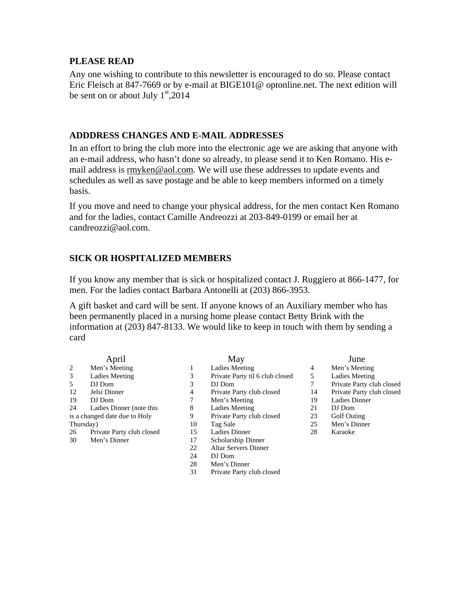#### **PLEASE READ**

Any one wishing to contribute to this newsletter is encouraged to do so. Please contact Eric Fleisch at 847-7669 or by e-mail at BIGE101@ optonline.net. The next edition will be sent on or about July  $1<sup>st</sup>$ ,2014

#### **ADDDRESS CHANGES AND E-MAIL ADDRESSES**

In an effort to bring the club more into the electronic age we are asking that anyone with an e-mail address, who hasn't done so already, to please send it to Ken Romano. His email address is rmyken@aol.com. We will use these addresses to update events and schedules as well as save postage and be able to keep members informed on a timely basis.

If you move and need to change your physical address, for the men contact Ken Romano and for the ladies, contact Camille Andreozzi at 203-849-0199 or email her at candreozzi@aol.com.

#### **SICK OR HOSPITALIZED MEMBERS**

If you know any member that is sick or hospitalized contact J. Ruggiero at 866-1477, for men. For the ladies contact Barbara Antonelli at (203) 866-3953.

A gift basket and card will be sent. If anyone knows of an Auxiliary member who has been permanently placed in a nursing home please contact Betty Brink with the information at (203) 847-8133. We would like to keep in touch with them by sending a card

| Men's Meeting<br>2<br>3<br>Ladies Meeting<br>5<br>DJ Dom<br>12<br>Jelsi Dinner<br>19<br>DJ Dom<br>24<br>Ladies Dinner (note this<br>is a changed date due to Holy<br>Thursday)<br>26<br>Private Party club closed<br>Men's Dinner<br>30 | April |  |
|-----------------------------------------------------------------------------------------------------------------------------------------------------------------------------------------------------------------------------------------|-------|--|
|                                                                                                                                                                                                                                         |       |  |
|                                                                                                                                                                                                                                         |       |  |
|                                                                                                                                                                                                                                         |       |  |
|                                                                                                                                                                                                                                         |       |  |
|                                                                                                                                                                                                                                         |       |  |
|                                                                                                                                                                                                                                         |       |  |
|                                                                                                                                                                                                                                         |       |  |
|                                                                                                                                                                                                                                         |       |  |
|                                                                                                                                                                                                                                         |       |  |
|                                                                                                                                                                                                                                         |       |  |

May

- 1 Ladies Meeting 3 Private Party til 6 club closed
- 3 DJ Dom
- 4 Private Party club closed
- 7 Men's Meeting
- 8 Ladies Meeting
- 9 Private Party club closed<br>10 Tag Sale
- Tag Sale
- 15 Ladies Dinner
- 17 Scholarship Dinner
- 22 Altar Servers Dinner
- 24 DJ Dom
- 28 Men's Dinner<br>31 Private Party c
- Private Party club closed

June

- 
- 4 Men's Meeting<br>5 Ladies Meeting Ladies Meeting
	-
- 7 Private Party club closed<br>14 Private Party club closed Private Party club closed
- 19 Ladies Dinner
- 21 DJ Dom
	-
- 23 Golf Outing<br>25 Men's Dinne Men's Dinner
- 28 Karaoke